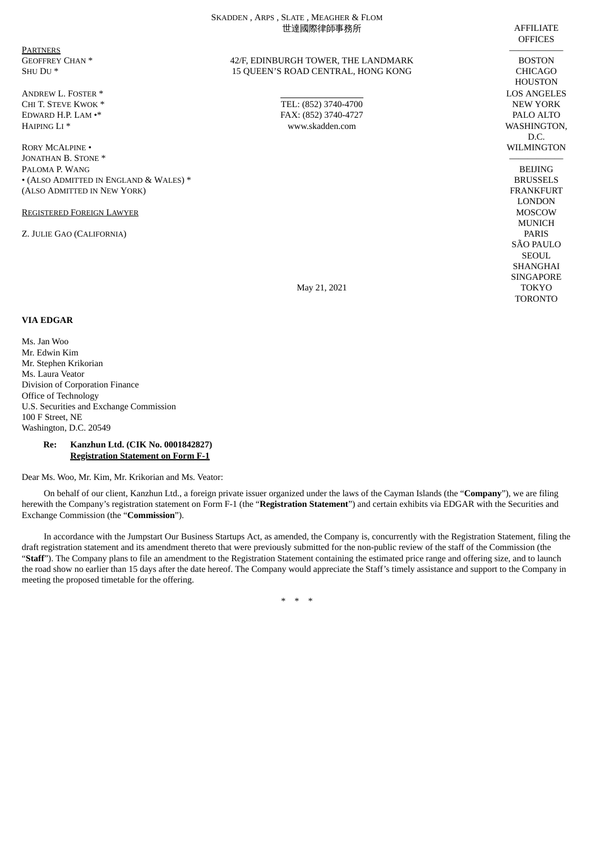|                                        | SKADDEN, ARPS, SLATE, MEAGHER & FLOM<br>世達國際律師事務所 | <b>AFFILIATE</b><br><b>OFFICES</b> |
|----------------------------------------|---------------------------------------------------|------------------------------------|
| <b>PARTNERS</b>                        |                                                   |                                    |
| <b>GEOFFREY CHAN*</b>                  | 42/F, EDINBURGH TOWER, THE LANDMARK               | <b>BOSTON</b>                      |
| SHU DU*                                | 15 QUEEN'S ROAD CENTRAL, HONG KONG                | <b>CHICAGO</b>                     |
|                                        |                                                   | <b>HOUSTON</b>                     |
| <b>ANDREW L. FOSTER *</b>              |                                                   | <b>LOS ANGELES</b>                 |
| CHI T. STEVE KWOK *                    | TEL: (852) 3740-4700                              | <b>NEW YORK</b>                    |
| EDWARD H.P. LAM .*                     | FAX: (852) 3740-4727                              | PALO ALTO                          |
| HAIPING LI <sup>*</sup>                | www.skadden.com                                   | WASHINGTON,                        |
| <b>RORY MCALPINE .</b>                 |                                                   | D.C.<br>WILMINGTON                 |
| JONATHAN B. STONE *                    |                                                   |                                    |
| PALOMA P. WANG                         |                                                   | <b>BEIJING</b>                     |
| • (ALSO ADMITTED IN ENGLAND & WALES) * |                                                   | <b>BRUSSELS</b>                    |
| (ALSO ADMITTED IN NEW YORK)            |                                                   | <b>FRANKFURT</b>                   |
|                                        |                                                   | <b>LONDON</b>                      |
| <b>REGISTERED FOREIGN LAWYER</b>       |                                                   | <b>MOSCOW</b>                      |
|                                        |                                                   | <b>MUNICH</b>                      |
| Z. JULIE GAO (CALIFORNIA)              |                                                   | <b>PARIS</b>                       |
|                                        |                                                   | <b>SÃO PAULO</b>                   |
|                                        |                                                   | <b>SEOUL</b>                       |
|                                        |                                                   | <b>SHANGHAI</b>                    |
|                                        |                                                   | <b>SINGAPORE</b>                   |
|                                        | May 21, 2021                                      | <b>TOKYO</b>                       |
|                                        |                                                   | <b>TORONTO</b>                     |
| <b>VIA EDGAR</b>                       |                                                   |                                    |

Ms. Jan Woo Mr. Edwin Kim Mr. Stephen Krikorian Ms. Laura Veator Division of Corporation Finance Office of Technology U.S. Securities and Exchange Commission 100 F Street, NE Washington, D.C. 20549

## **Re: Kanzhun Ltd. (CIK No. 0001842827) Registration Statement on Form F-1**

Dear Ms. Woo, Mr. Kim, Mr. Krikorian and Ms. Veator:

On behalf of our client, Kanzhun Ltd., a foreign private issuer organized under the laws of the Cayman Islands (the "**Company**"), we are filing herewith the Company's registration statement on Form F-1 (the "**Registration Statement**") and certain exhibits via EDGAR with the Securities and Exchange Commission (the "**Commission**").

In accordance with the Jumpstart Our Business Startups Act, as amended, the Company is, concurrently with the Registration Statement, filing the draft registration statement and its amendment thereto that were previously submitted for the non-public review of the staff of the Commission (the "**Staff**"). The Company plans to file an amendment to the Registration Statement containing the estimated price range and offering size, and to launch the road show no earlier than 15 days after the date hereof. The Company would appreciate the Staff's timely assistance and support to the Company in meeting the proposed timetable for the offering.

\* \* \*